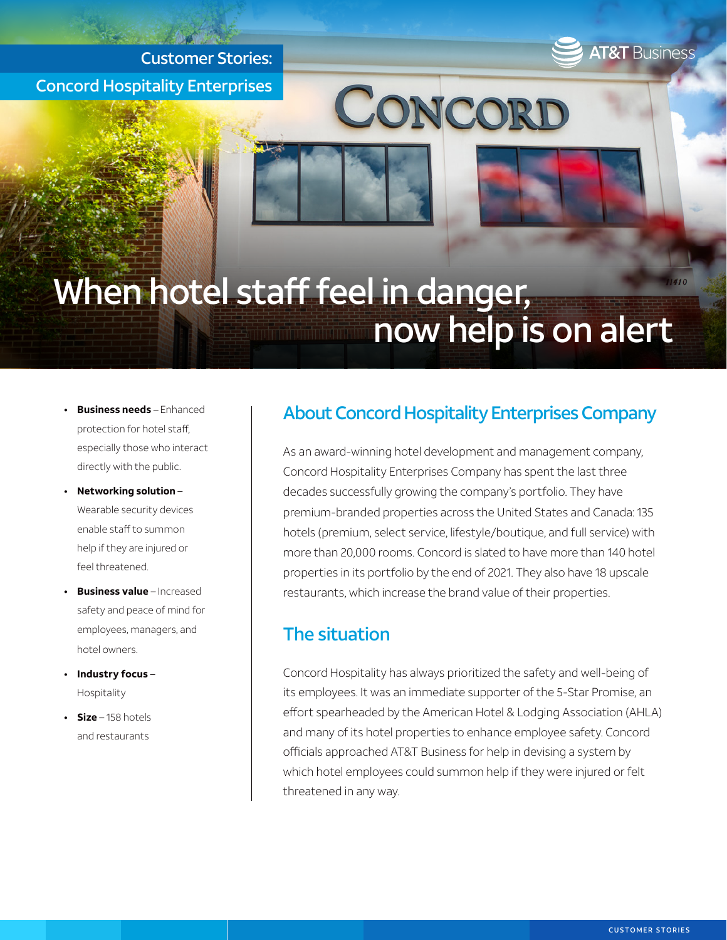



# When hotel staff feel in danger, 1410 now help is on alert

- **• Business needs** Enhanced protection for hotel staff, especially those who interact directly with the public.
- **• Networking solution** Wearable security devices enable staff to summon help if they are injured or feel threatened.
- **• Business value** Increased safety and peace of mind for employees, managers, and hotel owners.
- **• Industry focus** Hospitality
- **• Size**  158 hotels and restaurants

## About Concord Hospitality Enterprises Company

CONCORD

As an award-winning hotel development and management company, Concord Hospitality Enterprises Company has spent the last three decades successfully growing the company's portfolio. They have premium-branded properties across the United States and Canada: 135 hotels (premium, select service, lifestyle/boutique, and full service) with more than 20,000 rooms. Concord is slated to have more than 140 hotel properties in its portfolio by the end of 2021. They also have 18 upscale restaurants, which increase the brand value of their properties.

#### The situation

Concord Hospitality has always prioritized the safety and well-being of its employees. It was an immediate supporter of the 5-Star Promise, an effort spearheaded by the American Hotel & Lodging Association (AHLA) and many of its hotel properties to enhance employee safety. Concord officials approached AT&T Business for help in devising a system by which hotel employees could summon help if they were injured or felt threatened in any way.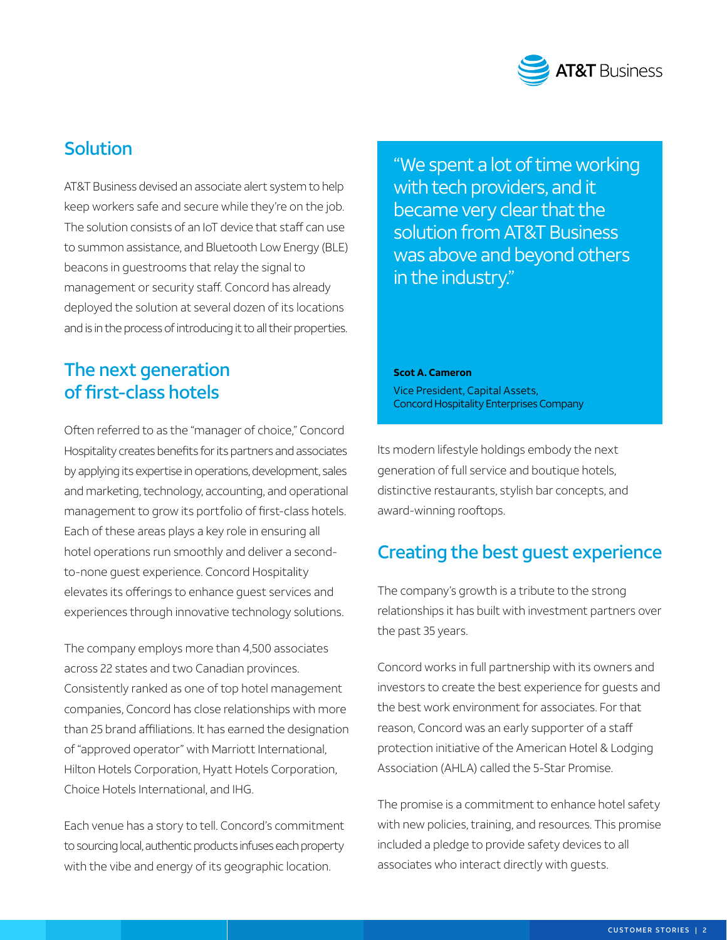

# Solution

AT&T Business devised an associate alert system to help keep workers safe and secure while they're on the job. The solution consists of an IoT device that staff can use to summon assistance, and Bluetooth Low Energy (BLE) beacons in guestrooms that relay the signal to management or security staff. Concord has already deployed the solution at several dozen of its locations and is in the process of introducing it to all their properties.

#### The next generation of first-class hotels

Often referred to as the "manager of choice," Concord Hospitality creates benefits for its partners and associates by applying its expertise in operations, development, sales and marketing, technology, accounting, and operational management to grow its portfolio of first-class hotels. Each of these areas plays a key role in ensuring all hotel operations run smoothly and deliver a secondto-none guest experience. Concord Hospitality elevates its offerings to enhance guest services and experiences through innovative technology solutions.

The company employs more than 4,500 associates across 22 states and two Canadian provinces. Consistently ranked as one of top hotel management companies, Concord has close relationships with more than 25 brand affiliations. It has earned the designation of "approved operator" with Marriott International, Hilton Hotels Corporation, Hyatt Hotels Corporation, Choice Hotels International, and IHG.

Each venue has a story to tell. Concord's commitment to sourcing local, authentic products infuses each property with the vibe and energy of its geographic location.

"We spent a lot of time working with tech providers, and it became very clear that the solution from AT&T Business was above and beyond others in the industry."

**Scot A. Cameron** Vice President, Capital Assets, Concord Hospitality Enterprises Company

Its modern lifestyle holdings embody the next generation of full service and boutique hotels, distinctive restaurants, stylish bar concepts, and award-winning rooftops.

#### Creating the best guest experience

The company's growth is a tribute to the strong relationships it has built with investment partners over the past 35 years.

Concord works in full partnership with its owners and investors to create the best experience for guests and the best work environment for associates. For that reason, Concord was an early supporter of a staff protection initiative of the American Hotel & Lodging Association (AHLA) called the 5-Star Promise.

The promise is a commitment to enhance hotel safety with new policies, training, and resources. This promise included a pledge to provide safety devices to all associates who interact directly with guests.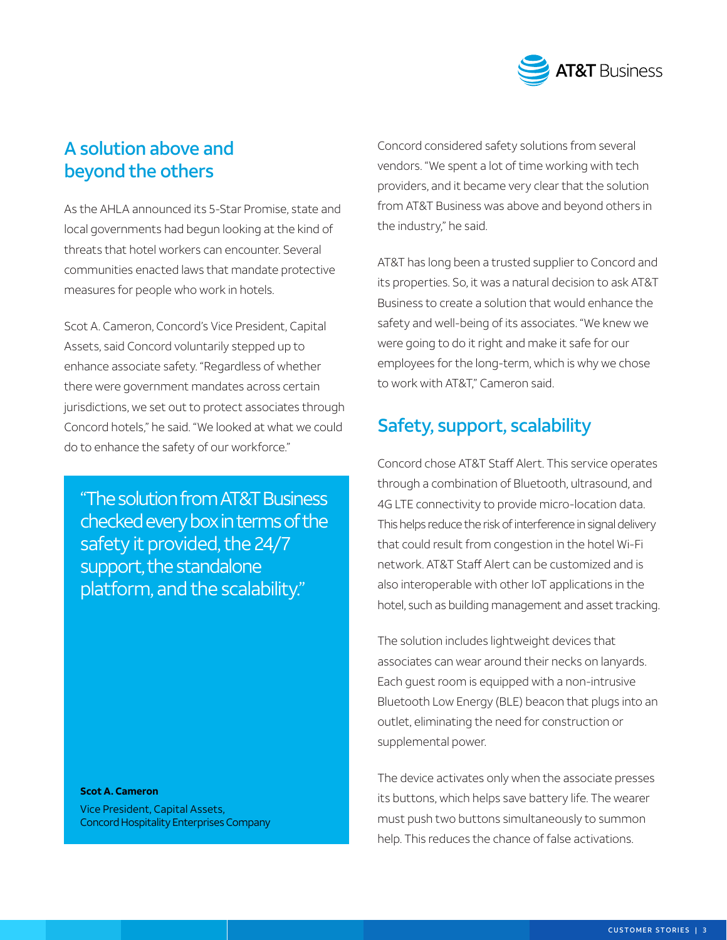

# A solution above and beyond the others

As the AHLA announced its 5-Star Promise, state and local governments had begun looking at the kind of threats that hotel workers can encounter. Several communities enacted laws that mandate protective measures for people who work in hotels.

Scot A. Cameron, Concord's Vice President, Capital Assets, said Concord voluntarily stepped up to enhance associate safety. "Regardless of whether there were government mandates across certain jurisdictions, we set out to protect associates through Concord hotels," he said. "We looked at what we could do to enhance the safety of our workforce."

"The solution from AT&T Business checked every box in terms of the safety it provided, the 24/7 support, the standalone platform, and the scalability."

**Scot A. Cameron**

Vice President, Capital Assets, Concord Hospitality Enterprises Company

Concord considered safety solutions from several vendors. "We spent a lot of time working with tech providers, and it became very clear that the solution from AT&T Business was above and beyond others in the industry," he said.

AT&T has long been a trusted supplier to Concord and its properties. So, it was a natural decision to ask AT&T Business to create a solution that would enhance the safety and well-being of its associates. "We knew we were going to do it right and make it safe for our employees for the long-term, which is why we chose to work with AT&T," Cameron said.

# Safety, support, scalability

Concord chose AT&T Staff Alert. This service operates through a combination of Bluetooth, ultrasound, and 4G LTE connectivity to provide micro-location data. This helps reduce the risk of interference in signal delivery that could result from congestion in the hotel Wi-Fi network. AT&T Staff Alert can be customized and is also interoperable with other IoT applications in the hotel, such as building management and asset tracking.

The solution includes lightweight devices that associates can wear around their necks on lanyards. Each guest room is equipped with a non-intrusive Bluetooth Low Energy (BLE) beacon that plugs into an outlet, eliminating the need for construction or supplemental power.

The device activates only when the associate presses its buttons, which helps save battery life. The wearer must push two buttons simultaneously to summon help. This reduces the chance of false activations.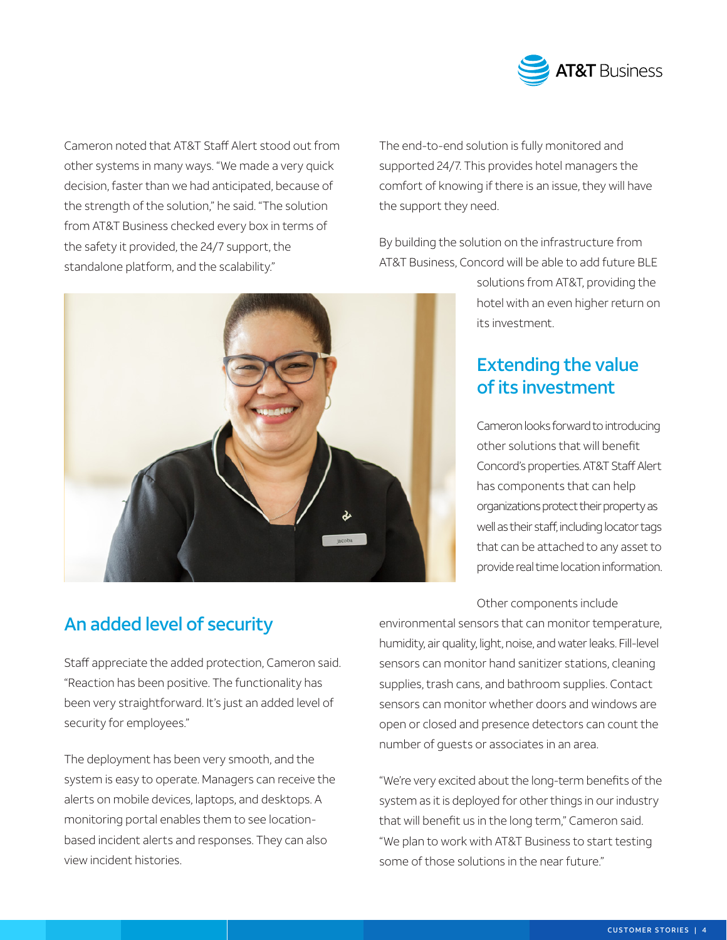

Cameron noted that AT&T Staff Alert stood out from other systems in many ways. "We made a very quick decision, faster than we had anticipated, because of the strength of the solution," he said. "The solution from AT&T Business checked every box in terms of the safety it provided, the 24/7 support, the standalone platform, and the scalability."



The end-to-end solution is fully monitored and supported 24/7. This provides hotel managers the comfort of knowing if there is an issue, they will have the support they need.

By building the solution on the infrastructure from AT&T Business, Concord will be able to add future BLE

> solutions from AT&T, providing the hotel with an even higher return on its investment.

# Extending the value of its investment

Cameron looks forward to introducing other solutions that will benefit Concord's properties. AT&T Staff Alert has components that can help organizations protect their property as well as their staff, including locator tags that can be attached to any asset to provide real time location information.

#### Other components include

Staff appreciate the added protection, Cameron said. "Reaction has been positive. The functionality has

An added level of security

been very straightforward. It's just an added level of security for employees."

The deployment has been very smooth, and the system is easy to operate. Managers can receive the alerts on mobile devices, laptops, and desktops. A monitoring portal enables them to see locationbased incident alerts and responses. They can also view incident histories.

environmental sensors that can monitor temperature, humidity, air quality, light, noise, and water leaks. Fill-level sensors can monitor hand sanitizer stations, cleaning supplies, trash cans, and bathroom supplies. Contact sensors can monitor whether doors and windows are open or closed and presence detectors can count the number of guests or associates in an area.

"We're very excited about the long-term benefits of the system as it is deployed for other things in our industry that will benefit us in the long term," Cameron said. "We plan to work with AT&T Business to start testing some of those solutions in the near future."